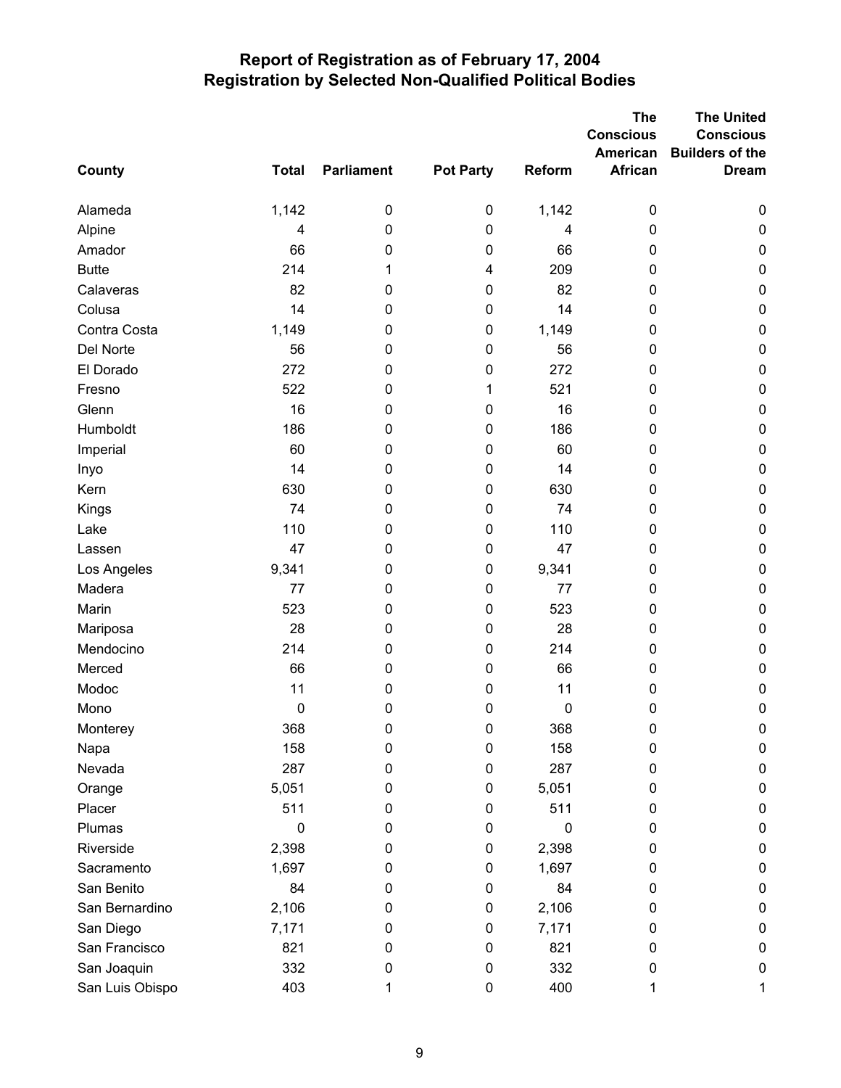## **Report of Registration as of February 17, 2004 Registration by Selected Non-Qualified Political Bodies**

|                 |              |                   |                  |        | The<br><b>Conscious</b> | <b>The United</b><br><b>Conscious</b> |
|-----------------|--------------|-------------------|------------------|--------|-------------------------|---------------------------------------|
|                 |              |                   |                  |        | American                | <b>Builders of the</b>                |
| County          | <b>Total</b> | <b>Parliament</b> | <b>Pot Party</b> | Reform | <b>African</b>          | <b>Dream</b>                          |
|                 |              |                   |                  |        |                         |                                       |
| Alameda         | 1,142        | $\pmb{0}$         | $\pmb{0}$        | 1,142  | 0                       | $\pmb{0}$                             |
| Alpine          | 4            | $\mathbf 0$       | 0                | 4      | 0                       | $\mathbf 0$                           |
| Amador          | 66           | 0                 | 0                | 66     | 0                       | $\pmb{0}$                             |
| <b>Butte</b>    | 214          | 1                 | 4                | 209    | 0                       | $\pmb{0}$                             |
| Calaveras       | 82           | 0                 | 0                | 82     | 0                       | $\pmb{0}$                             |
| Colusa          | 14           | 0                 | 0                | 14     | 0                       | $\pmb{0}$                             |
| Contra Costa    | 1,149        | 0                 | 0                | 1,149  | 0                       | $\pmb{0}$                             |
| Del Norte       | 56           | 0                 | 0                | 56     | 0                       | $\pmb{0}$                             |
| El Dorado       | 272          | 0                 | 0                | 272    | 0                       | $\pmb{0}$                             |
| Fresno          | 522          | 0                 | 1                | 521    | 0                       | $\pmb{0}$                             |
| Glenn           | 16           | $\mathbf 0$       | 0                | 16     | 0                       | $\pmb{0}$                             |
| Humboldt        | 186          | 0                 | 0                | 186    | 0                       | $\pmb{0}$                             |
| Imperial        | 60           | 0                 | 0                | 60     | 0                       | $\pmb{0}$                             |
| Inyo            | 14           | 0                 | 0                | 14     | 0                       | $\pmb{0}$                             |
| Kern            | 630          | 0                 | 0                | 630    | 0                       | $\pmb{0}$                             |
| Kings           | 74           | $\mathbf 0$       | 0                | 74     | 0                       | $\pmb{0}$                             |
| Lake            | 110          | 0                 | 0                | 110    | 0                       | $\pmb{0}$                             |
| Lassen          | 47           | $\pmb{0}$         | 0                | 47     | 0                       | $\pmb{0}$                             |
| Los Angeles     | 9,341        | 0                 | 0                | 9,341  | 0                       | $\pmb{0}$                             |
| Madera          | 77           | 0                 | 0                | 77     | 0                       | $\pmb{0}$                             |
| Marin           | 523          | $\mathbf 0$       | 0                | 523    | 0                       | $\pmb{0}$                             |
| Mariposa        | 28           | 0                 | 0                | 28     | 0                       | $\pmb{0}$                             |
| Mendocino       | 214          | $\mathbf 0$       | 0                | 214    | 0                       | $\pmb{0}$                             |
| Merced          | 66           | $\mathbf 0$       | 0                | 66     | 0                       | $\pmb{0}$                             |
| Modoc           | 11           | 0                 | 0                | 11     | 0                       | $\pmb{0}$                             |
| Mono            | 0            | $\mathbf 0$       | 0                | 0      | 0                       | $\mathbf 0$                           |
| Monterey        | 368          | 0                 | 0                | 368    | 0                       | 0                                     |
| Napa            | 158          | 0                 | 0                | 158    | 0                       | 0                                     |
| Nevada          | 287          | 0                 | 0                | 287    | 0                       | $\pmb{0}$                             |
| Orange          | 5,051        | 0                 | 0                | 5,051  | 0                       | $\mathbf 0$                           |
| Placer          | 511          | 0                 | 0                | 511    | 0                       | $\mathbf 0$                           |
| Plumas          | $\mathbf 0$  | 0                 | 0                | 0      | 0                       | $\pmb{0}$                             |
| Riverside       | 2,398        | 0                 | 0                | 2,398  | 0                       | $\mathbf 0$                           |
| Sacramento      | 1,697        | 0                 | 0                | 1,697  | 0                       | 0                                     |
| San Benito      | 84           | 0                 | 0                | 84     | 0                       | $\mathbf 0$                           |
| San Bernardino  | 2,106        | 0                 | 0                | 2,106  | 0                       | $\pmb{0}$                             |
| San Diego       | 7,171        | 0                 | 0                | 7,171  | 0                       | $\pmb{0}$                             |
| San Francisco   | 821          | 0                 | 0                | 821    | 0                       | $\mathbf 0$                           |
| San Joaquin     | 332          | 0                 | 0                | 332    | 0                       | 0                                     |
| San Luis Obispo | 403          | 1                 | 0                | 400    | 1                       | 1                                     |